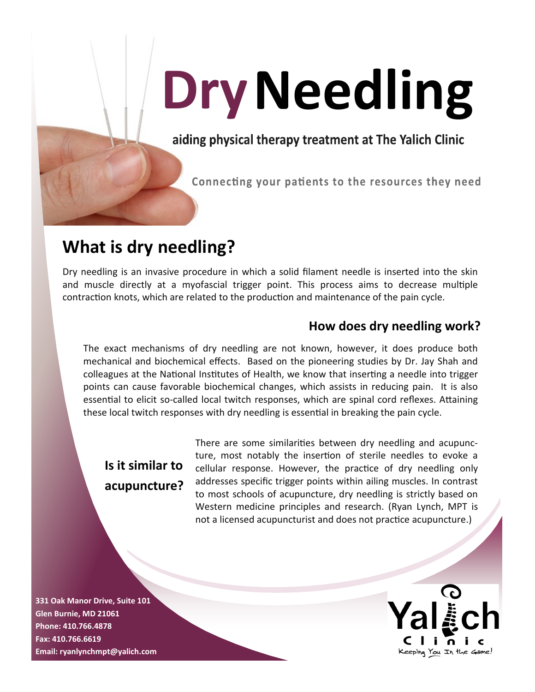# Dry Needling

aiding physical therapy treatment at The Yalich Clinic

Connecting your patients to the resources they need

# **What is dry needling?**

Dry needling is an invasive procedure in which a solid filament needle is inserted into the skin and muscle directly at a myofascial trigger point. This process aims to decrease multiple contraction knots, which are related to the production and maintenance of the pain cycle.

#### **How does dry needling work?**

The exact mechanisms of dry needling are not known, however, it does produce both mechanical and biochemical effects. Based on the pioneering studies by Dr. Jay Shah and colleagues at the National Institutes of Health, we know that inserting a needle into trigger points can cause favorable biochemical changes, which assists in reducing pain. It is also essential to elicit so-called local twitch responses, which are spinal cord reflexes. Attaining these local twitch responses with dry needling is essential in breaking the pain cycle.

## **Is it similar to acupuncture?**

There are some similarities between dry needling and acupuncture, most notably the insertion of sterile needles to evoke a cellular response. However, the practice of dry needling only addresses specific trigger points within ailing muscles. In contrast to most schools of acupuncture, dry needling is strictly based on Western medicine principles and research. (Ryan Lynch, MPT is not a licensed acupuncturist and does not practice acupuncture.)

**331 Oak Manor Drive, Suite 101 Glen Burnie, MD 21061 Phone: 410.766.4878 Fax: 410.766.6619 Email: ryanlynchmpt@yalich.com**